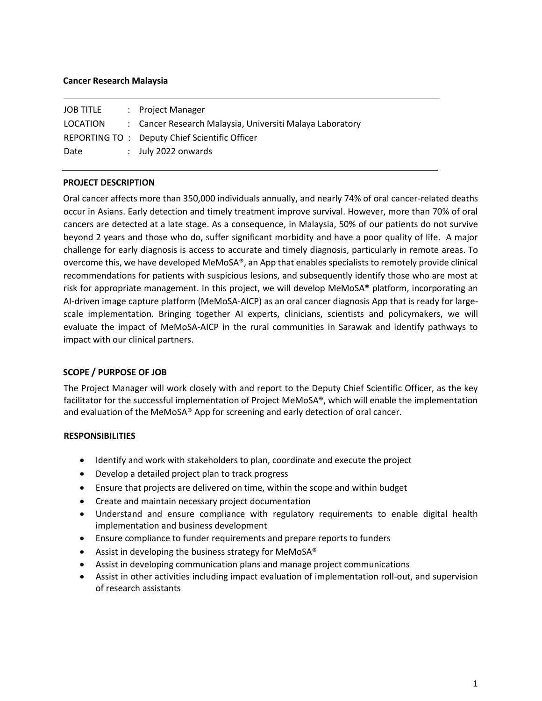## **Cancer Research Malaysia**

| JOB TITLE | : Project Manager                                        |
|-----------|----------------------------------------------------------|
| LOCATION  | : Cancer Research Malaysia, Universiti Malaya Laboratory |
|           | REPORTING TO: Deputy Chief Scientific Officer            |
| Date      | $:$ July 2022 onwards                                    |

### **PROJECT DESCRIPTION**

Oral cancer affects more than 350,000 individuals annually, and nearly 74% of oral cancer-related deaths occur in Asians. Early detection and timely treatment improve survival. However, more than 70% of oral cancers are detected at a late stage. As a consequence, in Malaysia, 50% of our patients do not survive beyond 2 years and those who do, suffer significant morbidity and have a poor quality of life. A major challenge for early diagnosis is access to accurate and timely diagnosis, particularly in remote areas. To overcome this, we have developed MeMoSA®, an App that enables specialists to remotely provide clinical recommendations for patients with suspicious lesions, and subsequently identify those who are most at risk for appropriate management. In this project, we will develop MeMoSA® platform, incorporating an AI-driven image capture platform (MeMoSA-AICP) as an oral cancer diagnosis App that is ready for largescale implementation. Bringing together AI experts, clinicians, scientists and policymakers, we will evaluate the impact of MeMoSA-AICP in the rural communities in Sarawak and identify pathways to impact with our clinical partners.

### **SCOPE / PURPOSE OF JOB**

The Project Manager will work closely with and report to the Deputy Chief Scientific Officer, as the key facilitator for the successful implementation of Project MeMoSA®, which will enable the implementation and evaluation of the MeMoSA® App for screening and early detection of oral cancer.

### **RESPONSIBILITIES**

- Identify and work with stakeholders to plan, coordinate and execute the project
- Develop a detailed project plan to track progress
- Ensure that projects are delivered on time, within the scope and within budget
- Create and maintain necessary project documentation
- Understand and ensure compliance with regulatory requirements to enable digital health implementation and business development
- Ensure compliance to funder requirements and prepare reports to funders
- Assist in developing the business strategy for MeMoSA<sup>®</sup>
- Assist in developing communication plans and manage project communications
- Assist in other activities including impact evaluation of implementation roll-out, and supervision of research assistants